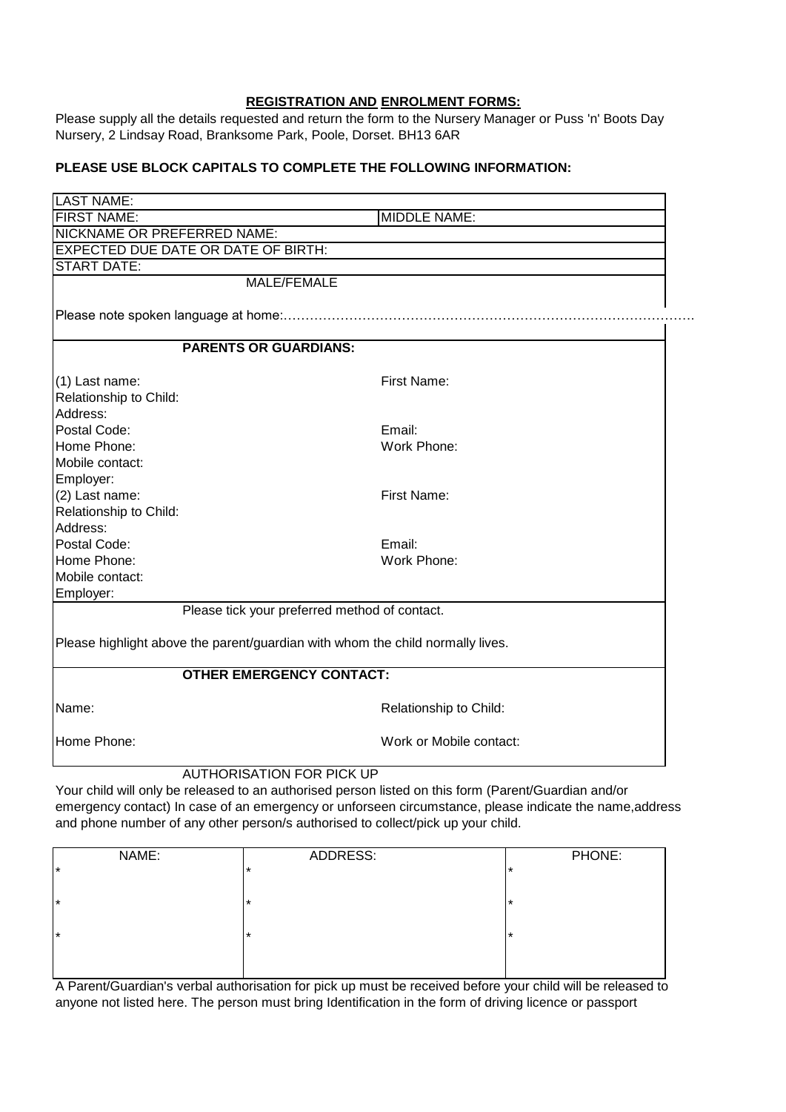## **REGISTRATION AND ENROLMENT FORMS:**

Please supply all the details requested and return the form to the Nursery Manager or Puss 'n' Boots Day Nursery, 2 Lindsay Road, Branksome Park, Poole, Dorset. BH13 6AR

## **PLEASE USE BLOCK CAPITALS TO COMPLETE THE FOLLOWING INFORMATION:**

| <b>LAST NAME:</b>                                                              |                                               |  |  |  |  |
|--------------------------------------------------------------------------------|-----------------------------------------------|--|--|--|--|
| <b>FIRST NAME:</b>                                                             | <b>MIDDLE NAME:</b>                           |  |  |  |  |
| NICKNAME OR PREFERRED NAME:                                                    |                                               |  |  |  |  |
| <b>EXPECTED DUE DATE OR DATE OF BIRTH:</b>                                     |                                               |  |  |  |  |
| <b>START DATE:</b>                                                             |                                               |  |  |  |  |
|                                                                                | <b>MALE/FEMALE</b>                            |  |  |  |  |
|                                                                                |                                               |  |  |  |  |
|                                                                                |                                               |  |  |  |  |
| <b>PARENTS OR GUARDIANS:</b>                                                   |                                               |  |  |  |  |
|                                                                                |                                               |  |  |  |  |
| (1) Last name:                                                                 | First Name:                                   |  |  |  |  |
| Relationship to Child:                                                         |                                               |  |  |  |  |
| Address:                                                                       |                                               |  |  |  |  |
| Postal Code:                                                                   | Email:                                        |  |  |  |  |
| Home Phone:                                                                    | Work Phone:                                   |  |  |  |  |
| Mobile contact:                                                                |                                               |  |  |  |  |
| Employer:                                                                      |                                               |  |  |  |  |
| (2) Last name:                                                                 | First Name:                                   |  |  |  |  |
| Relationship to Child:                                                         |                                               |  |  |  |  |
| Address:                                                                       |                                               |  |  |  |  |
| Postal Code:                                                                   | Email:                                        |  |  |  |  |
| Home Phone:                                                                    | Work Phone:                                   |  |  |  |  |
| Mobile contact:                                                                |                                               |  |  |  |  |
| Employer:                                                                      |                                               |  |  |  |  |
|                                                                                | Please tick your preferred method of contact. |  |  |  |  |
| Please highlight above the parent/guardian with whom the child normally lives. |                                               |  |  |  |  |
|                                                                                |                                               |  |  |  |  |
| <b>OTHER EMERGENCY CONTACT:</b>                                                |                                               |  |  |  |  |
| Name:                                                                          | Relationship to Child:                        |  |  |  |  |
| Home Phone:                                                                    | Work or Mobile contact:                       |  |  |  |  |
| <b>AUTHORISATION FOR PICK UP</b>                                               |                                               |  |  |  |  |

Your child will only be released to an authorised person listed on this form (Parent/Guardian and/or emergency contact) In case of an emergency or unforseen circumstance, please indicate the name,address and phone number of any other person/s authorised to collect/pick up your child.

| NAME:   | ADDRESS: | PHONE: |
|---------|----------|--------|
| $\star$ | $\star$  | l ★    |
|         |          |        |
| $\star$ | $\star$  | l ★    |
|         |          |        |
| $\star$ | $\star$  | l ★    |
|         |          |        |
|         |          |        |

A Parent/Guardian's verbal authorisation for pick up must be received before your child will be released to anyone not listed here. The person must bring Identification in the form of driving licence or passport